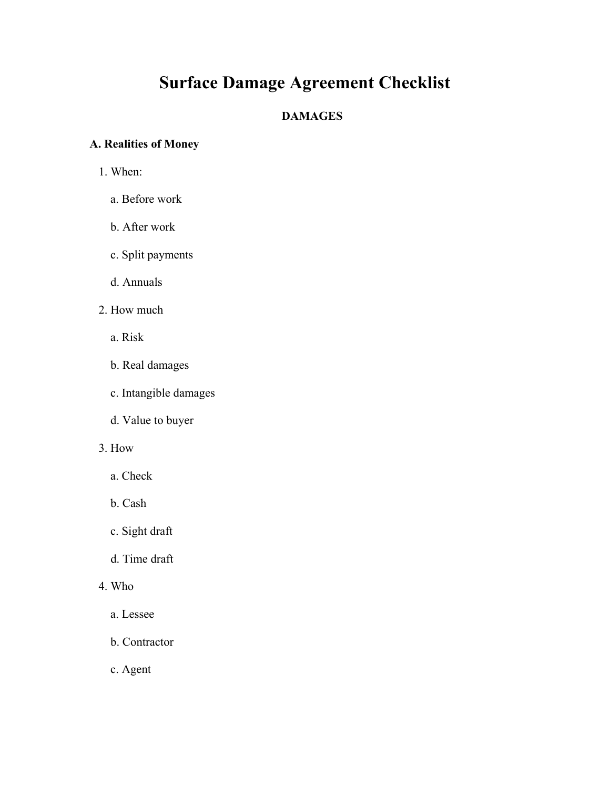# **Surface Damage Agreement Checklist**

## **DAMAGES**

# **A. Realities of Money**

- 1. When:
	- a. Before work
	- b. After work
	- c. Split payments
	- d. Annuals
- 2. How much
	- a. Risk
	- b. Real damages
	- c. Intangible damages
	- d. Value to buyer
- 3. How
	- a. Check
	- b. Cash
	- c. Sight draft
	- d. Time draft
- 4. Who
	- a. Lessee
	- b. Contractor
	- c. Agent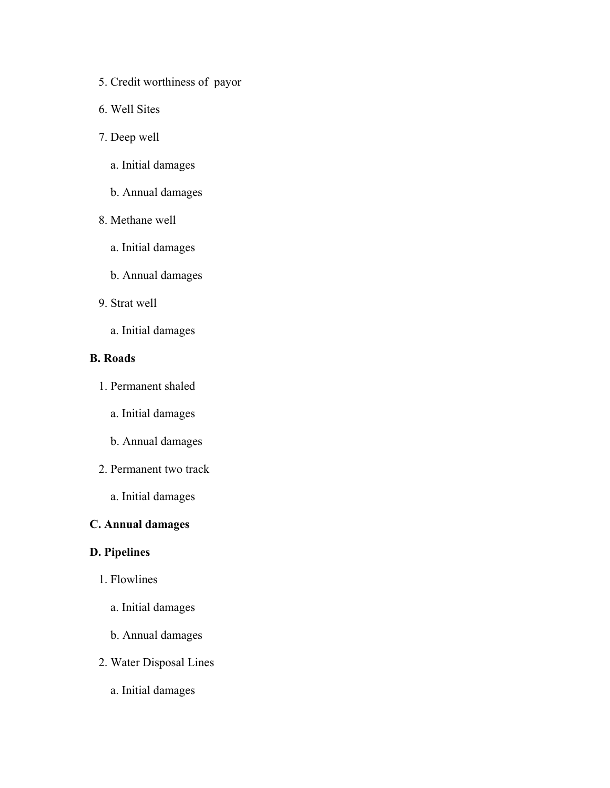- 5. Credit worthiness of payor
- 6. Well Sites
- 7. Deep well
	- a. Initial damages
	- b. Annual damages
- 8. Methane well
	- a. Initial damages
	- b. Annual damages
- 9. Strat well
	- a. Initial damages

## **B. Roads**

- 1. Permanent shaled
	- a. Initial damages
	- b. Annual damages
- 2. Permanent two track
	- a. Initial damages

## **C. Annual damages**

## **D. Pipelines**

- 1. Flowlines
	- a. Initial damages
	- b. Annual damages
- 2. Water Disposal Lines
	- a. Initial damages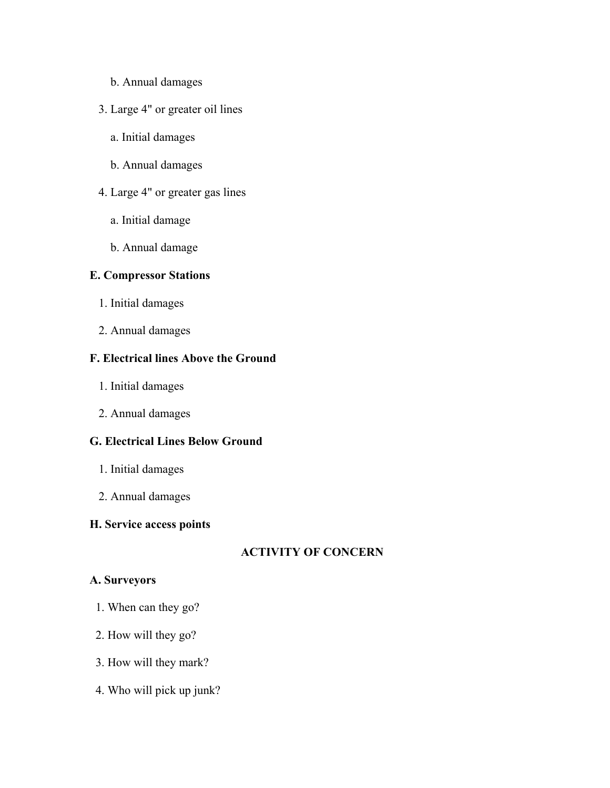- b. Annual damages
- 3. Large 4" or greater oil lines
	- a. Initial damages
	- b. Annual damages
- 4. Large 4" or greater gas lines
	- a. Initial damage
	- b. Annual damage

## **E. Compressor Stations**

- 1. Initial damages
- 2. Annual damages

## **F. Electrical lines Above the Ground**

- 1. Initial damages
- 2. Annual damages

## **G. Electrical Lines Below Ground**

- 1. Initial damages
- 2. Annual damages

## **H. Service access points**

## **ACTIVITY OF CONCERN**

#### **A. Surveyors**

- 1. When can they go?
- 2. How will they go?
- 3. How will they mark?
- 4. Who will pick up junk?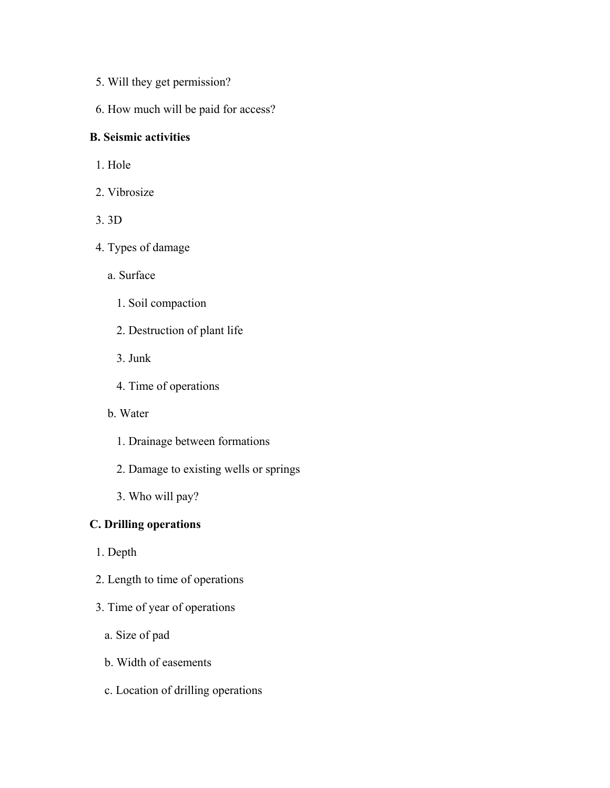- 5. Will they get permission?
- 6. How much will be paid for access?

#### **B. Seismic activities**

- 1. Hole
- 2. Vibrosize
- 3. 3D
- 4. Types of damage
	- a. Surface
		- 1. Soil compaction
		- 2. Destruction of plant life
		- 3. Junk
		- 4. Time of operations
	- b. Water
		- 1. Drainage between formations
		- 2. Damage to existing wells or springs
		- 3. Who will pay?

## **C. Drilling operations**

- 1. Depth
- 2. Length to time of operations
- 3. Time of year of operations
	- a. Size of pad
	- b. Width of easements
	- c. Location of drilling operations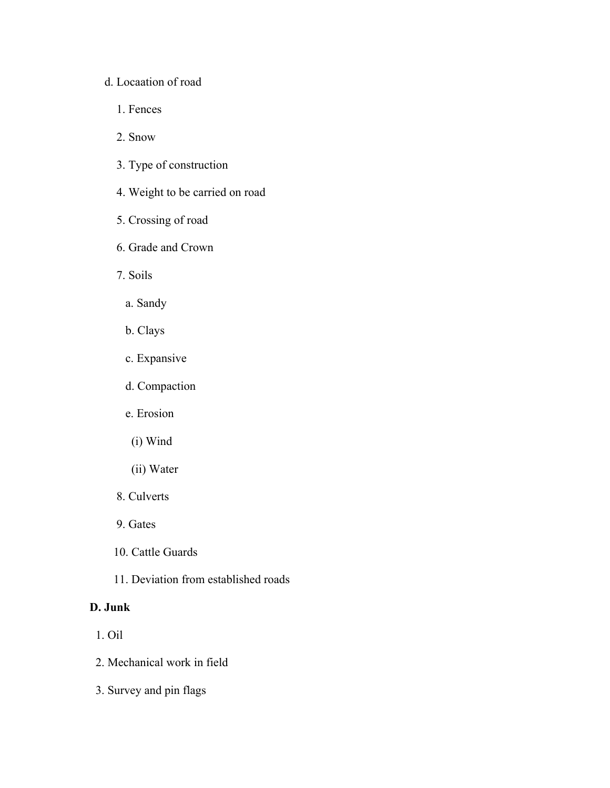#### d. Locaation of road

- 1. Fences
- 2. Snow
- 3. Type of construction
- 4. Weight to be carried on road
- 5. Crossing of road
- 6. Grade and Crown
- 7. Soils
	- a. Sandy
	- b. Clays
	- c. Expansive
	- d. Compaction
	- e. Erosion
	- (i) Wind
	- (ii) Water
- 8. Culverts
- 9. Gates
- 10. Cattle Guards
- 11. Deviation from established roads

## **D. Junk**

- 1. Oil
- 2. Mechanical work in field
- 3. Survey and pin flags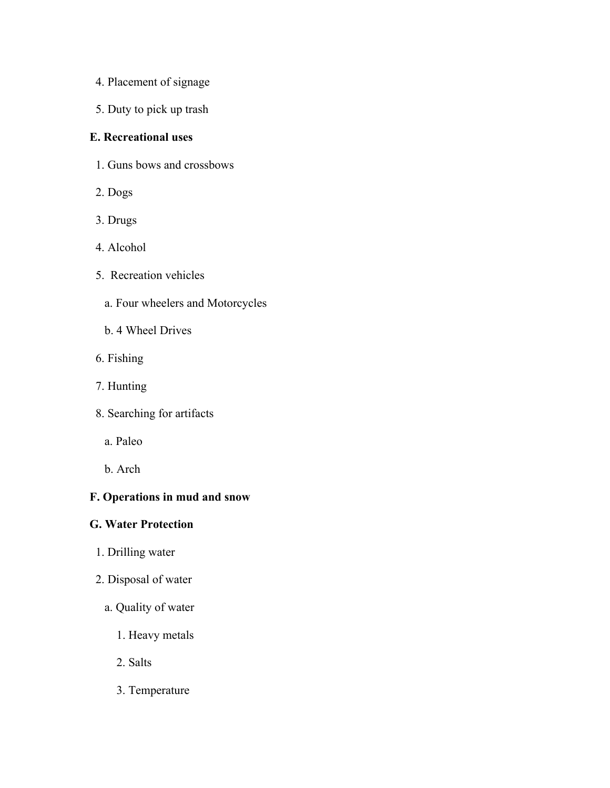- 4. Placement of signage
- 5. Duty to pick up trash

## **E. Recreational uses**

- 1. Guns bows and crossbows
- 2. Dogs
- 3. Drugs
- 4. Alcohol
- 5. Recreation vehicles
	- a. Four wheelers and Motorcycles
	- b. 4 Wheel Drives
- 6. Fishing
- 7. Hunting
- 8. Searching for artifacts
	- a. Paleo
	- b. Arch

## **F. Operations in mud and snow**

## **G. Water Protection**

- 1. Drilling water
- 2. Disposal of water
	- a. Quality of water
		- 1. Heavy metals
		- 2. Salts
		- 3. Temperature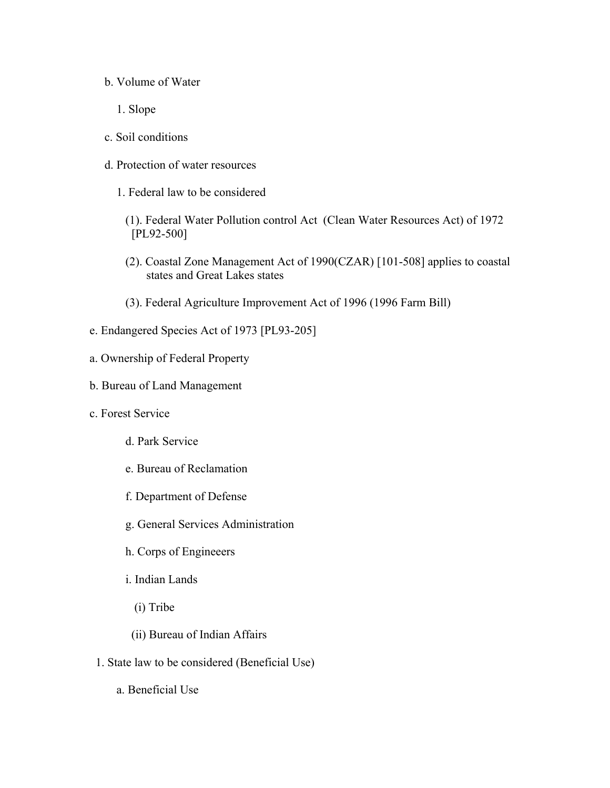- b. Volume of Water
	- 1. Slope
- c. Soil conditions
- d. Protection of water resources
	- 1. Federal law to be considered
		- (1). Federal Water Pollution control Act (Clean Water Resources Act) of 1972 [PL92-500]
		- (2). Coastal Zone Management Act of 1990(CZAR) [101-508] applies to coastal states and Great Lakes states
		- (3). Federal Agriculture Improvement Act of 1996 (1996 Farm Bill)
- e. Endangered Species Act of 1973 [PL93-205]
- a. Ownership of Federal Property
- b. Bureau of Land Management
- c. Forest Service
	- d. Park Service
	- e. Bureau of Reclamation
	- f. Department of Defense
	- g. General Services Administration
	- h. Corps of Engineeers
	- i. Indian Lands
		- (i) Tribe
	- (ii) Bureau of Indian Affairs
	- 1. State law to be considered (Beneficial Use)
		- a. Beneficial Use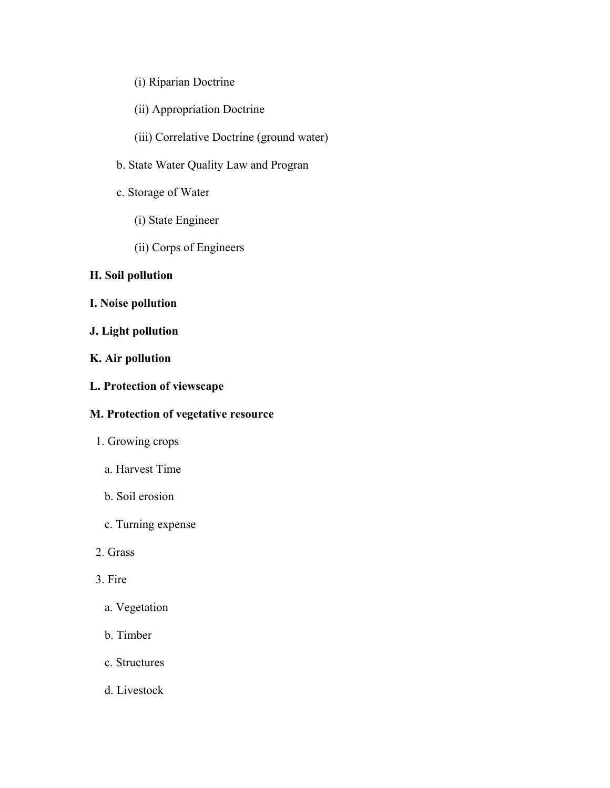## (i) Riparian Doctrine

- (ii) Appropriation Doctrine
- (iii) Correlative Doctrine (ground water)
- b. State Water Quality Law and Progran
- c. Storage of Water
	- (i) State Engineer
	- (ii) Corps of Engineers

## **H. Soil pollution**

- **I. Noise pollution**
- **J. Light pollution**
- **K. Air pollution**
- **L. Protection of viewscape**

## **M. Protection of vegetative resource**

- 1. Growing crops
	- a. Harvest Time
	- b. Soil erosion
	- c. Turning expense
- 2. Grass
- 3. Fire
	- a. Vegetation
	- b. Timber
	- c. Structures
	- d. Livestock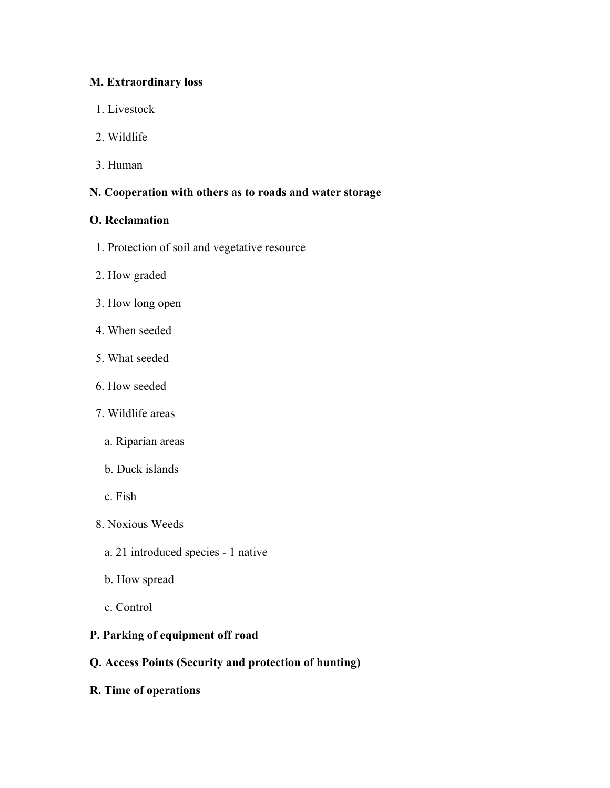## **M. Extraordinary loss**

- 1. Livestock
- 2. Wildlife
- 3. Human

# **N. Cooperation with others as to roads and water storage**

## **O. Reclamation**

- 1. Protection of soil and vegetative resource
- 2. How graded
- 3. How long open
- 4. When seeded
- 5. What seeded
- 6. How seeded
- 7. Wildlife areas
	- a. Riparian areas
	- b. Duck islands
	- c. Fish
- 8. Noxious Weeds
	- a. 21 introduced species 1 native
	- b. How spread
	- c. Control

## **P. Parking of equipment off road**

- **Q. Access Points (Security and protection of hunting)**
- **R. Time of operations**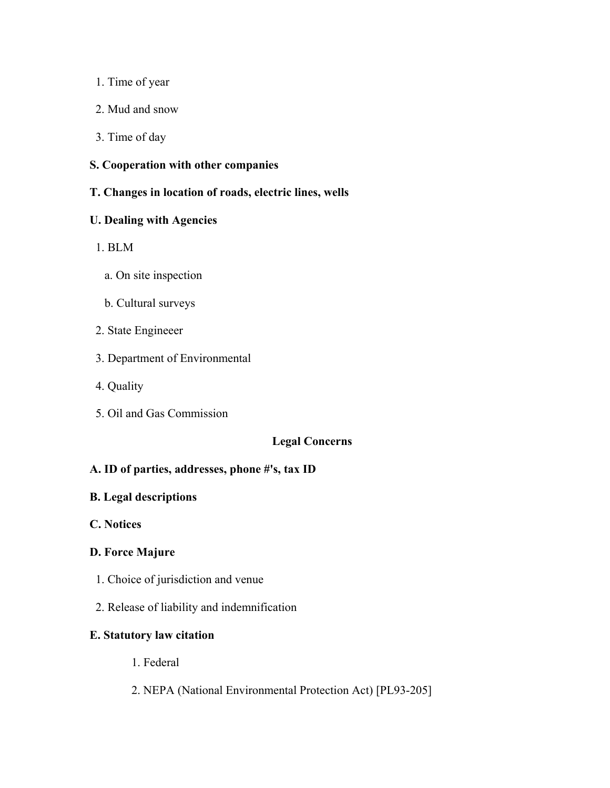- 1. Time of year
- 2. Mud and snow
- 3. Time of day
- **S. Cooperation with other companies**
- **T. Changes in location of roads, electric lines, wells**

#### **U. Dealing with Agencies**

- 1. BLM
	- a. On site inspection
	- b. Cultural surveys
- 2. State Engineeer
- 3. Department of Environmental
- 4. Quality
- 5. Oil and Gas Commission

## **Legal Concerns**

## **A. ID of parties, addresses, phone #'s, tax ID**

#### **B. Legal descriptions**

**C. Notices**

## **D. Force Majure**

- 1. Choice of jurisdiction and venue
- 2. Release of liability and indemnification

# **E. Statutory law citation**

- 1. Federal
- 2. NEPA (National Environmental Protection Act) [PL93-205]